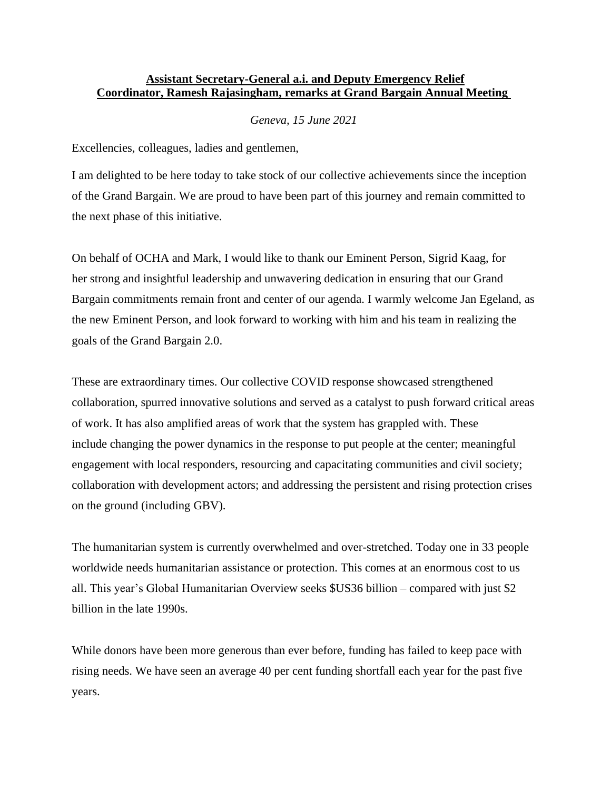## **Assistant Secretary-General a.i. and Deputy Emergency Relief Coordinator, Ramesh Rajasingham, remarks at Grand Bargain Annual Meeting**

## *Geneva, 15 June 2021*

Excellencies, colleagues, ladies and gentlemen,

I am delighted to be here today to take stock of our collective achievements since the inception of the Grand Bargain. We are proud to have been part of this journey and remain committed to the next phase of this initiative.

On behalf of OCHA and Mark, I would like to thank our Eminent Person, Sigrid Kaag, for her strong and insightful leadership and unwavering dedication in ensuring that our Grand Bargain commitments remain front and center of our agenda. I warmly welcome Jan Egeland, as the new Eminent Person, and look forward to working with him and his team in realizing the goals of the Grand Bargain 2.0.

These are extraordinary times. Our collective COVID response showcased strengthened collaboration, spurred innovative solutions and served as a catalyst to push forward critical areas of work. It has also amplified areas of work that the system has grappled with. These include changing the power dynamics in the response to put people at the center; meaningful engagement with local responders, resourcing and capacitating communities and civil society; collaboration with development actors; and addressing the persistent and rising protection crises on the ground (including GBV).

The humanitarian system is currently overwhelmed and over-stretched. Today one in 33 people worldwide needs humanitarian assistance or protection. This comes at an enormous cost to us all. This year's Global Humanitarian Overview seeks \$US36 billion – compared with just \$2 billion in the late 1990s.

While donors have been more generous than ever before, funding has failed to keep pace with rising needs. We have seen an average 40 per cent funding shortfall each year for the past five years.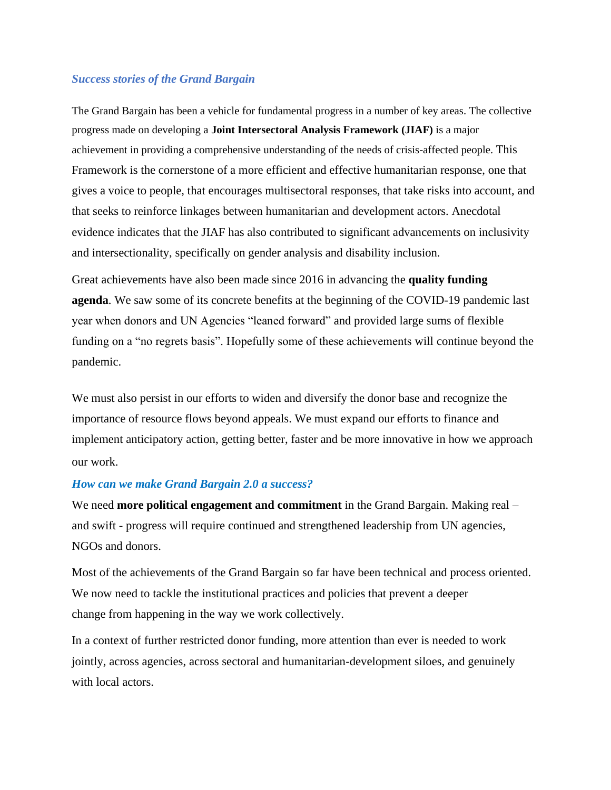## *Success stories of the Grand Bargain*

The Grand Bargain has been a vehicle for fundamental progress in a number of key areas. The collective progress made on developing a **Joint Intersectoral Analysis Framework (JIAF)** is a major achievement in providing a comprehensive understanding of the needs of crisis-affected people. This Framework is the cornerstone of a more efficient and effective humanitarian response, one that gives a voice to people, that encourages multisectoral responses, that take risks into account, and that seeks to reinforce linkages between humanitarian and development actors. Anecdotal evidence indicates that the JIAF has also contributed to significant advancements on inclusivity and intersectionality, specifically on gender analysis and disability inclusion.

Great achievements have also been made since 2016 in advancing the **quality funding agenda**. We saw some of its concrete benefits at the beginning of the COVID-19 pandemic last year when donors and UN Agencies "leaned forward" and provided large sums of flexible funding on a "no regrets basis". Hopefully some of these achievements will continue beyond the pandemic.

We must also persist in our efforts to widen and diversify the donor base and recognize the importance of resource flows beyond appeals. We must expand our efforts to finance and implement anticipatory action, getting better, faster and be more innovative in how we approach our work.

## *How can we make Grand Bargain 2.0 a success?*

We need **more political engagement and commitment** in the Grand Bargain. Making real – and swift - progress will require continued and strengthened leadership from UN agencies, NGOs and donors.

Most of the achievements of the Grand Bargain so far have been technical and process oriented. We now need to tackle the institutional practices and policies that prevent a deeper change from happening in the way we work collectively.

In a context of further restricted donor funding, more attention than ever is needed to work jointly, across agencies, across sectoral and humanitarian-development siloes, and genuinely with local actors.